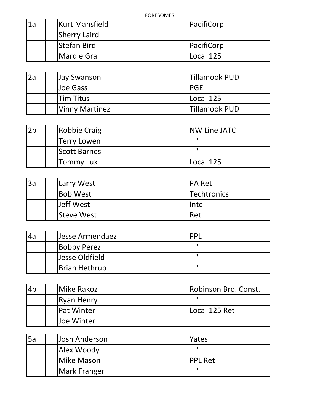| 1a | <b>Kurt Mansfield</b> | PacifiCorp |
|----|-----------------------|------------|
|    | <b>Sherry Laird</b>   |            |
|    | <b>Stefan Bird</b>    | PacifiCorp |
|    | <b>Mardie Grail</b>   | Local 125  |

| 2a | Jay Swanson           | Tillamook PUD        |
|----|-----------------------|----------------------|
|    | Uoe Gass              | PGE                  |
|    | lTim Titus            | Local 125            |
|    | <b>Vinny Martinez</b> | <b>Tillamook PUD</b> |

| 2 <sub>b</sub> | Robbie Craig     | <b>INW Line JATC</b> |
|----------------|------------------|----------------------|
|                | Terry Lowen      | -11                  |
|                | Scott Barnes     | п                    |
|                | <b>Tommy Lux</b> | Local 125            |

| 3a | Larry West        | <b>IPA Ret</b> |
|----|-------------------|----------------|
|    | <b>Bob West</b>   | Techtronics    |
|    | Jeff West         | lIntel         |
|    | <b>Steve West</b> | IRet.          |

| 4a | Jesse Armendaez      | <b>DD</b> |  |
|----|----------------------|-----------|--|
|    | <b>Bobby Perez</b>   | п         |  |
|    | Jesse Oldfield       | п         |  |
|    | <b>Brian Hethrup</b> | п         |  |

| l4b | <b>IMike Rakoz</b> | Robinson Bro. Const. |
|-----|--------------------|----------------------|
|     | Ryan Henry         | п                    |
|     | IPat Winter        | Local 125 Ret        |
|     | lJoe Winter        |                      |

| 5a | Josh Anderson | <b>Yates</b>   |
|----|---------------|----------------|
|    | Alex Woody    | п              |
|    | Mike Mason    | <b>PPL Ret</b> |
|    | Mark Franger  | п              |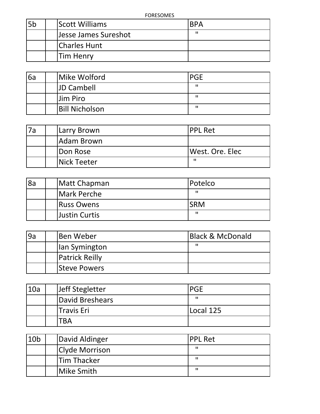| 5 <sub>b</sub> | <b>Scott Williams</b> | <b>BPA</b> |
|----------------|-----------------------|------------|
|                | Jesse James Sureshot  | н          |
|                | Charles Hunt          |            |
|                | <b>Tim Henry</b>      |            |

| 6a | Mike Wolford          | <b>PGE</b> |
|----|-----------------------|------------|
|    | <b>JD Cambell</b>     | п          |
|    | Jim Piro              | п          |
|    | <b>Bill Nicholson</b> | п          |

| 7a | <b>ILarry Brown</b> | IPPL Ret        |
|----|---------------------|-----------------|
|    | Adam Brown          |                 |
|    | <b>Don Rose</b>     | West. Ore. Elec |
|    | <b>Nick Teeter</b>  | п               |

| 8a | Matt Chapman         | Potelco    |
|----|----------------------|------------|
|    | Mark Perche          | п          |
|    | <b>Russ Owens</b>    | <b>SRM</b> |
|    | <b>Justin Curtis</b> | п          |

| l9a | lBen Weber            | <b>Black &amp; McDonald</b> |
|-----|-----------------------|-----------------------------|
|     | lan Symington         | п                           |
|     | <b>Patrick Reilly</b> |                             |
|     | <b>Steve Powers</b>   |                             |

| 10a | Jeff Stegletter   | <b>PGE</b> |
|-----|-------------------|------------|
|     | David Breshears   | ш          |
|     | <b>Travis Eri</b> | Local 125  |
|     | TBA               |            |

| 10 <sub>b</sub> | David Aldinger     | <b>PPL Ret</b> |
|-----------------|--------------------|----------------|
|                 | Clyde Morrison     | ш              |
|                 | <b>Tim Thacker</b> | п              |
|                 | Mike Smith         | п              |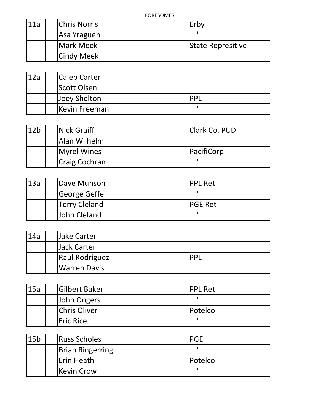| 11a | <b>Chris Norris</b> | Erby              |
|-----|---------------------|-------------------|
|     | Asa Yraguen         | п                 |
|     | Mark Meek           | State Represitive |
|     | <b>Cindy Meek</b>   |                   |

| 12a | <b>ICaleb Carter</b> |            |
|-----|----------------------|------------|
|     | <b>Scott Olsen</b>   |            |
|     | Joey Shelton         | <b>PPI</b> |
|     | <b>Kevin Freeman</b> | п          |

| 12 <sub>b</sub> | Nick Graiff          | <b>Clark Co. PUD</b> |
|-----------------|----------------------|----------------------|
|                 | Alan Wilhelm         |                      |
|                 | Myrel Wines          | PacifiCorp           |
|                 | <b>Craig Cochran</b> | п                    |

| 13a | Dave Munson          | <b>IPPL Ret</b> |
|-----|----------------------|-----------------|
|     | George Geffe         | п               |
|     | <b>Terry Cleland</b> | <b>IPGE Ret</b> |
|     | John Cleland         | п               |

| 14a | Jake Carter    |           |
|-----|----------------|-----------|
|     | Jack Carter    |           |
|     | Raul Rodriguez | <b>DD</b> |
|     | Warren Davis   |           |

| 15a | <b>Gilbert Baker</b> | <b>IPPL Ret</b> |
|-----|----------------------|-----------------|
|     | John Ongers          |                 |
|     | Chris Oliver         | <b>Potelco</b>  |
|     | Eric Rice            | ш               |

| 15 <sub>b</sub> | <b>Russ Scholes</b>     | <b>PGE</b> |
|-----------------|-------------------------|------------|
|                 | <b>Brian Ringerring</b> | п          |
|                 | Erin Heath              | Potelco    |
|                 | Kevin Crow              | п          |